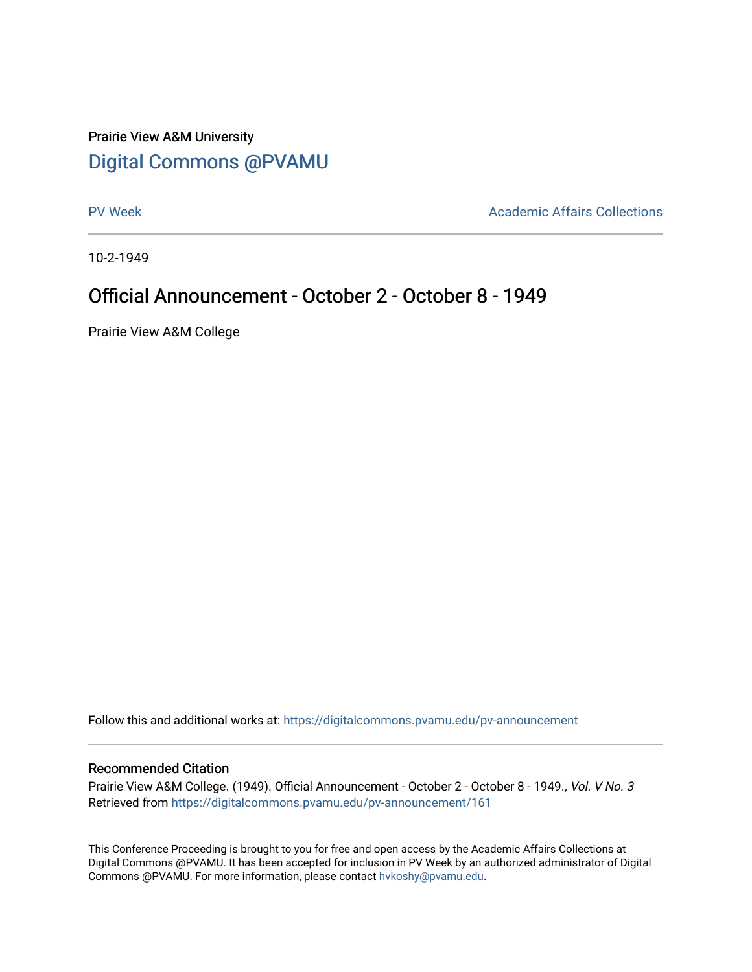# Prairie View A&M University [Digital Commons @PVAMU](https://digitalcommons.pvamu.edu/)

[PV Week](https://digitalcommons.pvamu.edu/pv-announcement) **Academic Affairs Collections** 

10-2-1949

## Official Announcement - October 2 - October 8 - 1949

Prairie View A&M College

Follow this and additional works at: [https://digitalcommons.pvamu.edu/pv-announcement](https://digitalcommons.pvamu.edu/pv-announcement?utm_source=digitalcommons.pvamu.edu%2Fpv-announcement%2F161&utm_medium=PDF&utm_campaign=PDFCoverPages) 

### Recommended Citation

Prairie View A&M College. (1949). Official Announcement - October 2 - October 8 - 1949., Vol. V No. 3 Retrieved from [https://digitalcommons.pvamu.edu/pv-announcement/161](https://digitalcommons.pvamu.edu/pv-announcement/161?utm_source=digitalcommons.pvamu.edu%2Fpv-announcement%2F161&utm_medium=PDF&utm_campaign=PDFCoverPages) 

This Conference Proceeding is brought to you for free and open access by the Academic Affairs Collections at Digital Commons @PVAMU. It has been accepted for inclusion in PV Week by an authorized administrator of Digital Commons @PVAMU. For more information, please contact [hvkoshy@pvamu.edu.](mailto:hvkoshy@pvamu.edu)